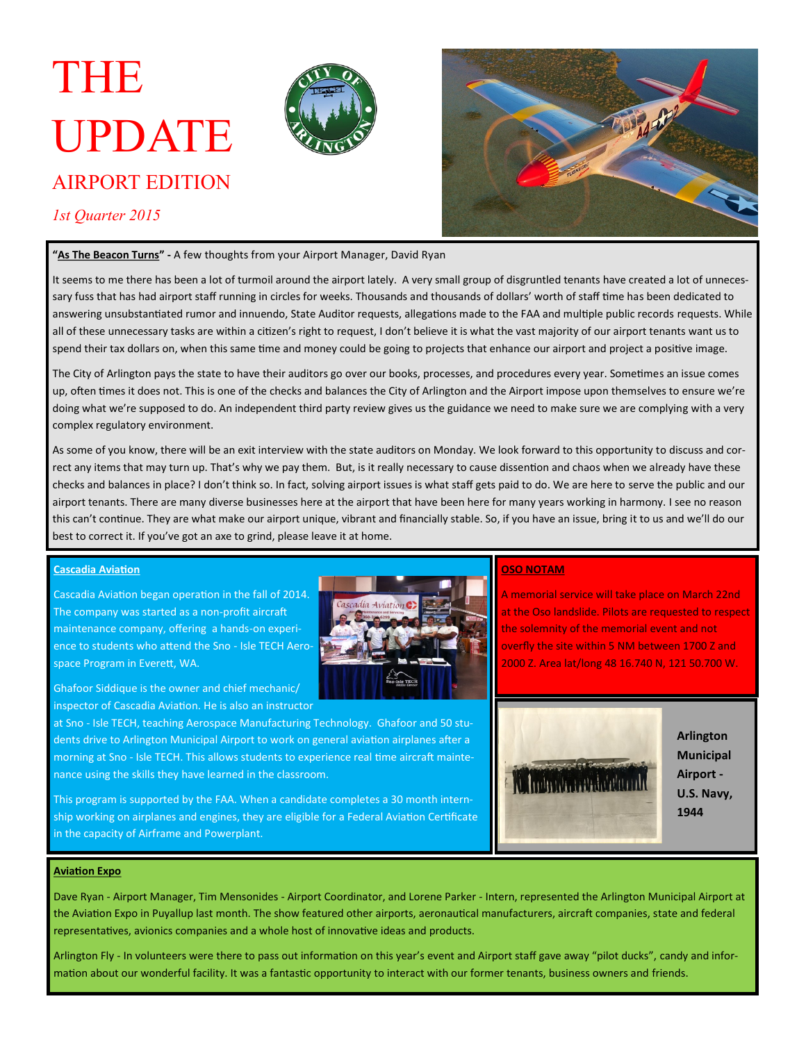# THE UPDATE



## AIRPORT EDITION

*1st Quarter 2015*



#### **"As The Beacon Turns" -** A few thoughts from your Airport Manager, David Ryan

It seems to me there has been a lot of turmoil around the airport lately. A very small group of disgruntled tenants have created a lot of unnecessary fuss that has had airport staff running in circles for weeks. Thousands and thousands of dollars' worth of staff time has been dedicated to answering unsubstantiated rumor and innuendo, State Auditor requests, allegations made to the FAA and multiple public records requests. While all of these unnecessary tasks are within a citizen's right to request, I don't believe it is what the vast majority of our airport tenants want us to spend their tax dollars on, when this same time and money could be going to projects that enhance our airport and project a positive image.

The City of Arlington pays the state to have their auditors go over our books, processes, and procedures every year. Sometimes an issue comes up, often times it does not. This is one of the checks and balances the City of Arlington and the Airport impose upon themselves to ensure we're doing what we're supposed to do. An independent third party review gives us the guidance we need to make sure we are complying with a very complex regulatory environment.

As some of you know, there will be an exit interview with the state auditors on Monday. We look forward to this opportunity to discuss and correct any items that may turn up. That's why we pay them. But, is it really necessary to cause dissention and chaos when we already have these checks and balances in place? I don't think so. In fact, solving airport issues is what staff gets paid to do. We are here to serve the public and our airport tenants. There are many diverse businesses here at the airport that have been here for many years working in harmony. I see no reason this can't continue. They are what make our airport unique, vibrant and financially stable. So, if you have an issue, bring it to us and we'll do our best to correct it. If you've got an axe to grind, please leave it at home.

#### **Cascadia Aviation**

Cascadia Aviation began operation in the fall of 2014. The company was started as a non-profit aircraft maintenance company, offering a hands-on experience to students who attend the Sno - Isle TECH Aerospace Program in Everett, WA.



Ghafoor Siddique is the owner and chief mechanic/ inspector of Cascadia Aviation. He is also an instructor

at Sno - Isle TECH, teaching Aerospace Manufacturing Technology. Ghafoor and 50 students drive to Arlington Municipal Airport to work on general aviation airplanes after a morning at Sno - Isle TECH. This allows students to experience real time aircraft maintenance using the skills they have learned in the classroom.

This program is supported by the FAA. When a candidate completes a 30 month internship working on airplanes and engines, they are eligible for a Federal Aviation Certificate in the capacity of Airframe and Powerplant.

### **OSO NOTAM**

A memorial service will take place on March 22nd at the Oso landslide. Pilots are requested to respect the solemnity of the memorial event and not overfly the site within 5 NM between 1700 Z and 2000 Z. Area lat/long 48 16.740 N, 121 50.700 W.



**Arlington Municipal Airport - U.S. Navy, 1944**

#### **Aviation Expo**

Dave Ryan - Airport Manager, Tim Mensonides - Airport Coordinator, and Lorene Parker - Intern, represented the Arlington Municipal Airport at the Aviation Expo in Puyallup last month. The show featured other airports, aeronautical manufacturers, aircraft companies, state and federal representatives, avionics companies and a whole host of innovative ideas and products.

Arlington Fly - In volunteers were there to pass out information on this year's event and Airport staff gave away "pilot ducks", candy and information about our wonderful facility. It was a fantastic opportunity to interact with our former tenants, business owners and friends.